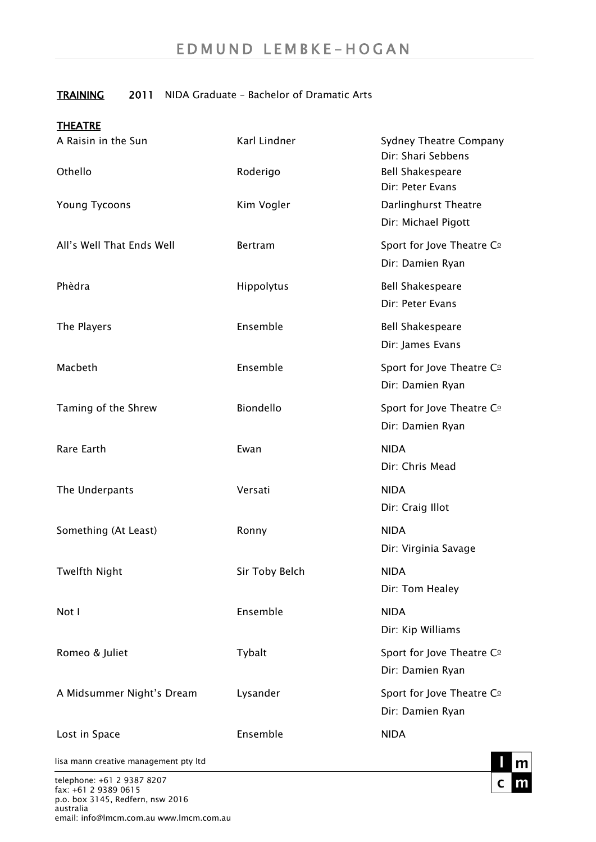## TRAINING 2011 NIDA Graduate – Bachelor of Dramatic Arts

| <b>THEATRE</b>            |                |                                                     |
|---------------------------|----------------|-----------------------------------------------------|
| A Raisin in the Sun       | Karl Lindner   | <b>Sydney Theatre Company</b><br>Dir: Shari Sebbens |
| Othello                   | Roderigo       | <b>Bell Shakespeare</b><br>Dir: Peter Evans         |
| <b>Young Tycoons</b>      | Kim Vogler     | Darlinghurst Theatre<br>Dir: Michael Pigott         |
| All's Well That Ends Well | <b>Bertram</b> | Sport for Jove Theatre Co<br>Dir: Damien Ryan       |
| Phèdra                    | Hippolytus     | <b>Bell Shakespeare</b><br>Dir: Peter Evans         |
| The Players               | Ensemble       | <b>Bell Shakespeare</b><br>Dir: James Evans         |
| Macbeth                   | Ensemble       | Sport for Jove Theatre Co<br>Dir: Damien Ryan       |
| Taming of the Shrew       | Biondello      | Sport for Jove Theatre Co<br>Dir: Damien Ryan       |
| Rare Earth                | Ewan           | <b>NIDA</b><br>Dir: Chris Mead                      |
| The Underpants            | Versati        | <b>NIDA</b><br>Dir: Craig Illot                     |
| Something (At Least)      | Ronny          | <b>NIDA</b><br>Dir: Virginia Savage                 |
| <b>Twelfth Night</b>      | Sir Toby Belch | <b>NIDA</b><br>Dir: Tom Healey                      |
| Not I                     | Ensemble       | <b>NIDA</b><br>Dir: Kip Williams                    |
| Romeo & Juliet            | Tybalt         | Sport for Jove Theatre Co<br>Dir: Damien Ryan       |
| A Midsummer Night's Dream | Lysander       | Sport for Jove Theatre Co<br>Dir: Damien Ryan       |
| Lost in Space             | Ensemble       | <b>NIDA</b>                                         |

lisa mann creative management pty ltd

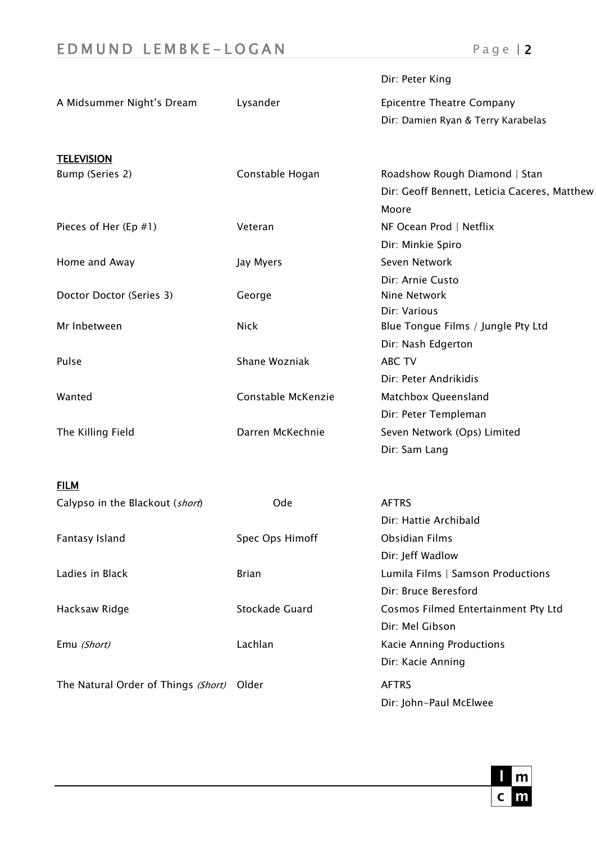## E D M U N D L E M B K E - L O G A N P a g e | 2

|                                     |                    | Dir: Peter King                                    |
|-------------------------------------|--------------------|----------------------------------------------------|
| A Midsummer Night's Dream           | Lysander           | <b>Epicentre Theatre Company</b>                   |
|                                     |                    | Dir: Damien Ryan & Terry Karabelas                 |
| <b>TELEVISION</b>                   |                    |                                                    |
| Bump (Series 2)                     | Constable Hogan    | Roadshow Rough Diamond   Stan                      |
|                                     |                    | Dir: Geoff Bennett, Leticia Caceres, Matthew       |
|                                     |                    | Moore                                              |
| Pieces of Her (Ep #1)               | Veteran            | NF Ocean Prod   Netflix                            |
|                                     |                    | Dir: Minkie Spiro                                  |
| Home and Away                       | Jay Myers          | Seven Network                                      |
|                                     |                    | Dir: Arnie Custo                                   |
| Doctor Doctor (Series 3)            | George             | Nine Network                                       |
| Mr Inbetween                        | <b>Nick</b>        | Dir: Various<br>Blue Tongue Films / Jungle Pty Ltd |
|                                     |                    | Dir: Nash Edgerton                                 |
| Pulse                               | Shane Wozniak      | <b>ABC TV</b>                                      |
|                                     |                    | Dir: Peter Andrikidis                              |
| Wanted                              | Constable McKenzie | Matchbox Queensland                                |
|                                     |                    | Dir: Peter Templeman                               |
| The Killing Field                   | Darren McKechnie   | Seven Network (Ops) Limited                        |
|                                     |                    | Dir: Sam Lang                                      |
|                                     |                    |                                                    |
| <b>FILM</b>                         |                    |                                                    |
| Calypso in the Blackout (short)     | Ode                | <b>AFTRS</b>                                       |
|                                     |                    | Dir: Hattie Archibald                              |
| Fantasy Island                      | Spec Ops Himoff    | <b>Obsidian Films</b>                              |
|                                     |                    | Dir: Jeff Wadlow                                   |
| Ladies in Black                     | <b>Brian</b>       | Lumila Films   Samson Productions                  |
|                                     |                    | Dir: Bruce Beresford                               |
| Hacksaw Ridge                       | Stockade Guard     | Cosmos Filmed Entertainment Pty Ltd                |
|                                     |                    | Dir: Mel Gibson                                    |
| Emu (Short)                         | Lachlan            | <b>Kacie Anning Productions</b>                    |
|                                     |                    | Dir: Kacie Anning                                  |
| The Natural Order of Things (Short) | Older              | <b>AFTRS</b>                                       |
|                                     |                    | Dir: John-Paul McElwee                             |